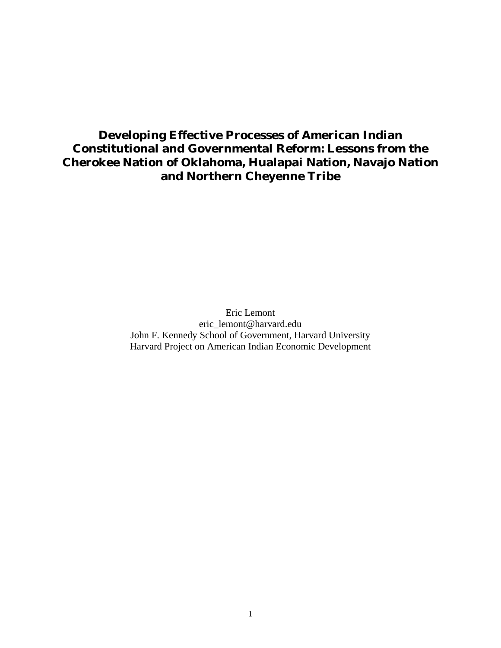# **Developing Effective Processes of American Indian Constitutional and Governmental Reform: Lessons from the Cherokee Nation of Oklahoma, Hualapai Nation, Navajo Nation and Northern Cheyenne Tribe**

Eric Lemont eric\_lemont@harvard.edu John F. Kennedy School of Government, Harvard University Harvard Project on American Indian Economic Development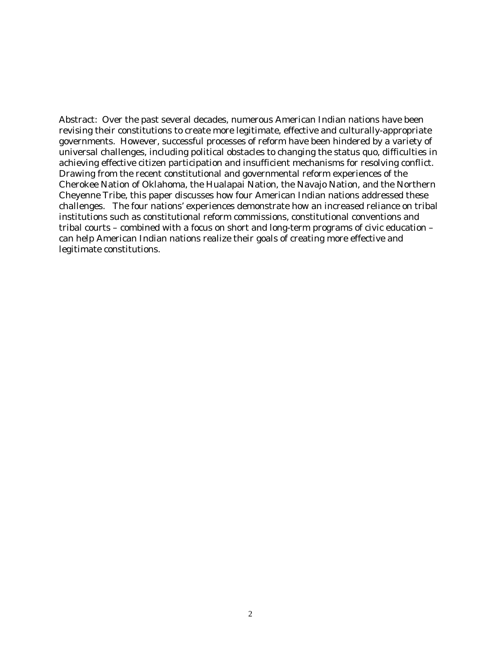Abstract: Over the past several decades, numerous American Indian nations have been revising their constitutions to create more legitimate, effective and culturally-appropriate governments. However, successful processes of reform have been hindered by a variety of universal challenges, including political obstacles to changing the status quo, difficulties in achieving effective citizen participation and insufficient mechanisms for resolving conflict. Drawing from the recent constitutional and governmental reform experiences of the Cherokee Nation of Oklahoma, the Hualapai Nation, the Navajo Nation, and the Northern Cheyenne Tribe, this paper discusses how four American Indian nations addressed these challenges. The four nations' experiences demonstrate how an increased reliance on tribal institutions such as constitutional reform commissions, constitutional conventions and tribal courts – combined with a focus on short and long-term programs of civic education – can help American Indian nations realize their goals of creating more effective and legitimate constitutions.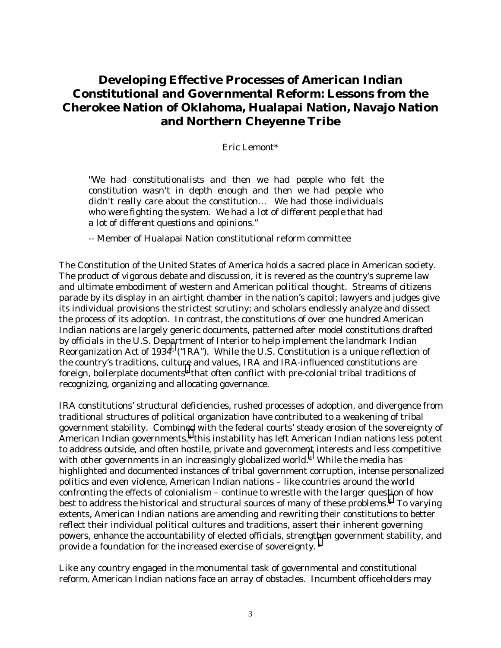# **Developing Effective Processes of American Indian Constitutional and Governmental Reform: Lessons from the Cherokee Nation of Oklahoma, Hualapai Nation, Navajo Nation and Northern Cheyenne Tribe**

Eric Lemont\*

"*We had constitutionalists and then we had people who felt the constitution wasn't in depth enough and then we had people who didn't really care about the constitution… We had those individuals who were fighting the system. We had a lot of different people that had a lot of different questions and opinions."* 

-- Member of Hualapai Nation constitutional reform committee

The Constitution of the United States of America holds a sacred place in American society. The product of vigorous debate and discussion, it is revered as the country's supreme law and ultimate embodiment of western and American political thought. Streams of citizens parade by its display in an airtight chamber in the nation's capitol; lawyers and judges give its individual provisions the strictest scrutiny; and scholars endlessly analyze and dissect the process of its adoption. In contrast, the constitutions of over one hundred American Indian nations are largely generic documents, patterned after model constitutions drafted by officials in the U.S. Dep[ar](#page-28-0)tment of Interior to help implement the landmark Indian Reorganization Act of 19341 ("IRA"). While the U.S. Constitution is a unique reflection of the country's traditions, cultu[re](#page-28-0) and values, IRA and IRA-influenced constitutions are foreign, boilerplate documents<sup>2</sup> that often conflict with pre-colonial tribal traditions of recognizing, organizing and allocating governance.

IRA constitutions' structural deficiencies, rushed processes of adoption, and divergence from traditional structures of political organization have contributed to a weakening of tribal government stability. Combined with the federal courts' steady erosion of the sovereignty of American Indian governments,<sup>3</sup> this instability has left American Indian nations less potent to address outside, and often hostile, private and governme[nt](#page-28-0) interests and less competitive with other governments in an increasingly globalized world.<sup>4</sup> While the media has highlighted and documented instances of tribal government corruption, intense personalized politics and even violence, American Indian nations – like countries around the world confronting the effects of colonialism – continue to wrestle with the larger ques[ti](#page-28-0)on of how best to address the historical and structural sources of many of these problems.<sup>5</sup> To varying extents, American Indian nations are amending and rewriting their constitutions to better reflect their individual political cultures and traditions, assert their inherent governing powers, enhance the accountability of elected officials, strengt[he](#page-28-0)n government stability, and provide a foundation for the increased exercise of sovereignty. 6

Like any country engaged in the monumental task of governmental and constitutional reform, American Indian nations face an array of obstacles. Incumbent officeholders may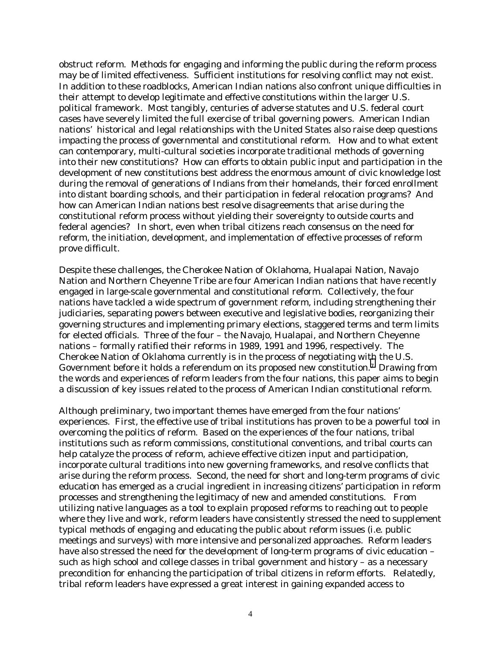obstruct reform. Methods for engaging and informing the public during the reform process may be of limited effectiveness. Sufficient institutions for resolving conflict may not exist. In addition to these roadblocks, American Indian nations also confront unique difficulties in their attempt to develop legitimate and effective constitutions within the larger U.S. political framework. Most tangibly, centuries of adverse statutes and U.S. federal court cases have severely limited the full exercise of tribal governing powers. American Indian nations' historical and legal relationships with the United States also raise deep questions impacting the process of governmental and constitutional reform. How and to what extent can contemporary, multi-cultural societies incorporate traditional methods of governing into their new constitutions? How can efforts to obtain public input and participation in the development of new constitutions best address the enormous amount of civic knowledge lost during the removal of generations of Indians from their homelands, their forced enrollment into distant boarding schools, and their participation in federal relocation programs? And how can American Indian nations best resolve disagreements that arise during the constitutional reform process without yielding their sovereignty to outside courts and federal agencies? In short, even when tribal citizens reach consensus on the need for reform, the initiation, development, and implementation of effective *processes* of reform prove difficult.

Despite these challenges, the Cherokee Nation of Oklahoma, Hualapai Nation, Navajo Nation and Northern Cheyenne Tribe are four American Indian nations that have recently engaged in large-scale governmental and constitutional reform. Collectively, the four nations have tackled a wide spectrum of government reform, including strengthening their judiciaries, separating powers between executive and legislative bodies, reorganizing their governing structures and implementing primary elections, staggered terms and term limits for elected officials. Three of the four – the Navajo, Hualapai, and Northern Cheyenne nations – formally ratified their reforms in 1989, 1991 and 1996, respectively. The Cherokee Nation of Oklahoma currently is in the process of negotiating with the U.S. Government before it holds a referendum on its proposed new constitution.[7](#page-28-0) Drawing from the words and experiences of reform leaders from the four nations, this paper aims to begin a discussion of key issues related to the process of American Indian constitutional reform.

Although preliminary, two important themes have emerged from the four nations' experiences. First, the effective use of tribal institutions has proven to be a powerful tool in overcoming the politics of reform. Based on the experiences of the four nations, tribal institutions such as reform commissions, constitutional conventions, and tribal courts can help catalyze the process of reform, achieve effective citizen input and participation, incorporate cultural traditions into new governing frameworks, and resolve conflicts that arise during the reform process. Second, the need for short and long-term programs of civic education has emerged as a crucial ingredient in increasing citizens' participation in reform processes and strengthening the legitimacy of new and amended constitutions. From utilizing native languages as a tool to explain proposed reforms to reaching out to people where they live and work, reform leaders have consistently stressed the need to supplement typical methods of engaging and educating the public about reform issues (i.e. public meetings and surveys) with more intensive and personalized approaches. Reform leaders have also stressed the need for the development of long-term programs of civic education – such as high school and college classes in tribal government and history – as a necessary precondition for enhancing the participation of tribal citizens in reform efforts. Relatedly, tribal reform leaders have expressed a great interest in gaining expanded access to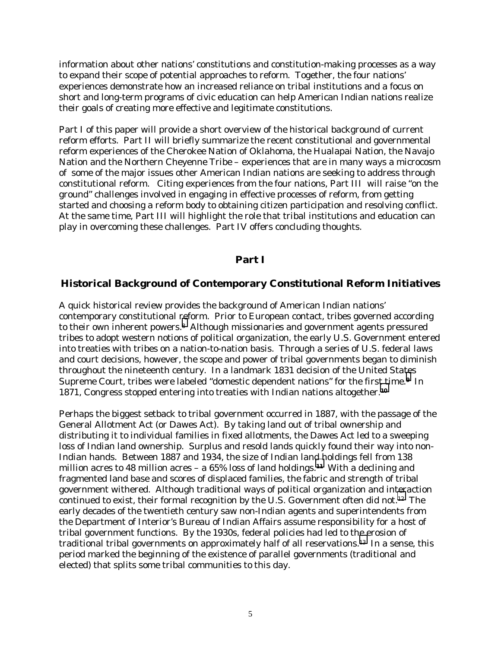information about other nations' constitutions and constitution-making processes as a way to expand their scope of potential approaches to reform. Together, the four nations' experiences demonstrate how an increased reliance on tribal institutions and a focus on short and long-term programs of civic education can help American Indian nations realize their goals of creating more effective and legitimate constitutions.

Part I of this paper will provide a short overview of the historical background of current reform efforts. Part II will briefly summarize the recent constitutional and governmental reform experiences of the Cherokee Nation of Oklahoma, the Hualapai Nation, the Navajo Nation and the Northern Cheyenne Tribe – experiences that are in many ways a microcosm of some of the major issues other American Indian nations are seeking to address through constitutional reform. Citing experiences from the four nations, Part III will raise "on the ground" challenges involved in engaging in effective processes of reform, from getting started and choosing a reform body to obtaining citizen participation and resolving conflict. At the same time, Part III will highlight the role that tribal institutions and education can play in overcoming these challenges. Part IV offers concluding thoughts.

### **Part I**

### **Historical Background of Contemporary Constitutional Reform Initiatives**

A quick historical review provides the background of American Indian nations' contemporary constitutional [re](#page-28-0)form. Prior to European contact, tribes governed according to their own inherent powers.<sup>8</sup> Although missionaries and government agents pressured tribes to adopt western notions of political organization, the early U.S. Government entered into treaties with tribes on a nation-to-nation basis. Through a series of U.S. federal laws and court decisions, however, the scope and power of tribal governments began to diminish throughout the nineteenth century. In a landmark 1831 decision of the United Sta[te](#page-28-0)s Supreme Court, tribes were labeled "domestic dependent nations" for the first time.**9** In 1871, Congress stopped entering into treaties with Indian nations altogether.**[10](#page-28-0)**

Perhaps the biggest setback to tribal government occurred in 1887, with the passage of the General Allotment Act (or Dawes Act). By taking land out of tribal ownership and distributing it to individual families in fixed allotments, the Dawes Act led to a sweeping loss of Indian land ownership. Surplus and resold lands quickly found their way into non-Indian hands. Between 1887 and 1934, the size of Indian lan[d h](#page-28-0)oldings fell from 138 million acres to 48 million acres – a 65% loss of land holdings.**11** With a declining and fragmented land base and scores of displaced families, the fabric and strength of tribal government withered. Although traditional ways of political organization and interaction continued to exist, their formal recognition by the U.S. Government often did not[.12](#page-28-0) The early decades of the twentieth century saw non-Indian agents and superintendents from the Department of Interior's Bureau of Indian Affairs assume responsibility for a host of tribal government functions. By the 1930s, federal policies had led to the erosion of traditional tribal governments on approximately half of all reservations.[13](#page-28-0) In a sense, this period marked the beginning of the existence of parallel governments (traditional and elected) that splits some tribal communities to this day.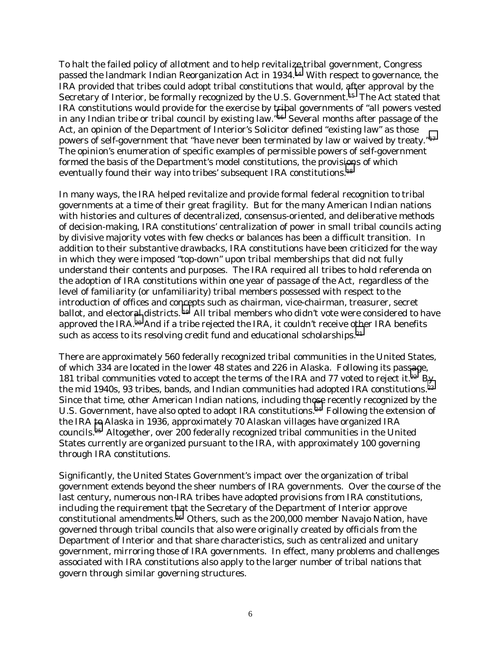To halt the failed policy of allotment and to help revitalize tribal government, Congress passed the landmark Indian Reorganization Act in 1934.[14](#page-28-0) With respect to governance, the IRA provided that tribes could adopt tribal constitutions that would, after approval by the Secretary of Interior, be formally recognized by the U.S. Government.[15](#page-28-0) The Act stated that IRA constitutions would provide for the exercise by t[rib](#page-28-0)al governments of "all powers vested in any Indian tribe or tribal council by existing law."16 Several months after passage of the Act, an opinion of the Department of Interior's Solicitor defined "existing law" as those powers of self-government that "have never been terminated by law or waived by treaty."[17](#page-28-0)  The opinion's enumeration of specific examples of permissible powers of self-government formed the basis of the Department's model constitutions, the provis[ion](#page-28-0)s of which eventually found their way into tribes' subsequent IRA constitutions.18

In many ways, the IRA helped revitalize and provide formal federal recognition to tribal governments at a time of their great fragility. But for the many American Indian nations with histories and cultures of decentralized, consensus-oriented, and deliberative methods of decision-making, IRA constitutions' centralization of power in small tribal councils acting by divisive majority votes with few checks or balances has been a difficult transition. In addition to their substantive drawbacks, IRA constitutions have been criticized for the way in which they were imposed "top-down" upon tribal memberships that did not fully understand their contents and purposes. The IRA required all tribes to hold referenda on the adoption of IRA constitutions within one year of passage of the Act, regardless of the level of familiarity (or unfamiliarity) tribal members possessed with respect to the introduction of offices and concepts such as chairman, vice-chairman, treasurer, secret ballot, and elector[al](#page-28-0) districts.<sup>19</sup> All tribal members who didn't vote were considered to have approved the IRA.20 And if a tribe rejected the IRA, it couldn't receive other IRA benefits such as access to its resolving credit fund and educational scholarships.<sup>21</sup>

There are approximately 560 federally recognized tribal communities in the United States, of which 334 are located in the lower 48 states and 226 in Alaska. Following its pas[sag](#page-28-0)e, 181 tribal communities voted to accept the terms of the IRA and 77 voted to reject it.<sup>22</sup> By the mid 1940s, 93 tribes, bands, and Indian communities had adopted IRA constitutions.<sup>23</sup> Since that time, other American Indian nations, including th[ose](#page-28-0) recently recognized by the U.S. Government, have also opted to adopt IRA constitutions.24 Following the extension of the IRA [to](#page-28-0) Alaska in 1936, approximately 70 Alaskan villages have organized IRA councils.25 Altogether, over 200 federally recognized tribal communities in the United States currently are organized pursuant to the IRA, with approximately 100 governing through IRA constitutions.

Significantly, the United States Government's impact over the organization of tribal government extends beyond the sheer numbers of IRA governments. Over the course of the last century, numerous non-IRA tribes have adopted provisions from IRA constitutions, including the requirement that the Secretary of the Department of Interior approve constitutional amendments.[26](#page-28-0) Others, such as the 200,000 member Navajo Nation, have governed through tribal councils that also were originally created by officials from the Department of Interior and that share characteristics, such as centralized and unitary government, mirroring those of IRA governments. In effect, many problems and challenges associated with IRA constitutions also apply to the larger number of tribal nations that govern through similar governing structures.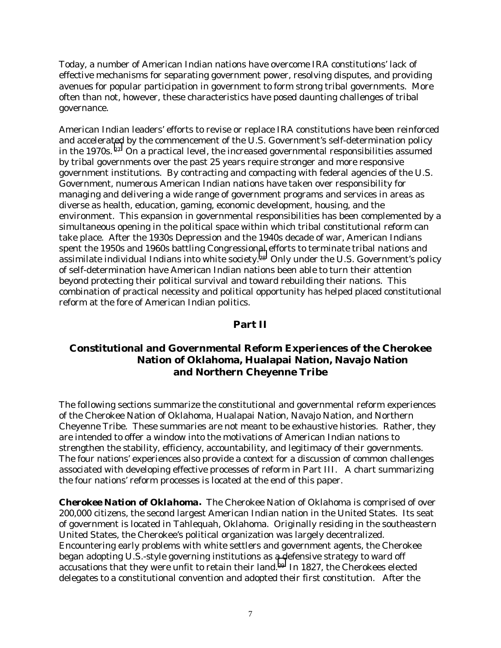Today, a number of American Indian nations have overcome IRA constitutions' lack of effective mechanisms for separating government power, resolving disputes, and providing avenues for popular participation in government to form strong tribal governments. More often than not, however, these characteristics have posed daunting challenges of tribal governance.

American Indian leaders' efforts to revise or replace IRA constitutions have been reinforced and accelerated by the commencement of the U.S. Government's self-determination policy in the 1970s. [27](#page-28-0) On a practical level, the increased governmental responsibilities assumed by tribal governments over the past 25 years require stronger and more responsive government institutions. By contracting and compacting with federal agencies of the U.S. Government, numerous American Indian nations have taken over responsibility for managing and delivering a wide range of government programs and services in areas as diverse as health, education, gaming, economic development, housing, and the environment. This expansion in governmental responsibilities has been complemented by a simultaneous opening in the political space within which tribal constitutional reform can take place. After the 1930s Depression and the 1940s decade of war, American Indians spent the 1950s and 1960s battling Congression[al](#page-28-0) efforts to terminate tribal nations and assimilate individual Indians into white society.<sup>28</sup> Only under the U.S. Government's policy of self-determination have American Indian nations been able to turn their attention beyond protecting their political survival and toward rebuilding their nations. This combination of practical necessity and political opportunity has helped placed constitutional reform at the fore of American Indian politics.

## **Part II**

# **Constitutional and Governmental Reform Experiences of the Cherokee Nation of Oklahoma, Hualapai Nation, Navajo Nation and Northern Cheyenne Tribe**

The following sections summarize the constitutional and governmental reform experiences of the Cherokee Nation of Oklahoma, Hualapai Nation, Navajo Nation, and Northern Cheyenne Tribe. These summaries are not meant to be exhaustive histories. Rather, they are intended to offer a window into the motivations of American Indian nations to strengthen the stability, efficiency, accountability, and legitimacy of their governments. The four nations' experiences also provide a context for a discussion of common challenges associated with developing effective processes of reform in Part III. A chart summarizing the four nations' reform processes is located at the end of this paper.

*Cherokee Nation of Oklahoma***.** The Cherokee Nation of Oklahoma is comprised of over 200,000 citizens, the second largest American Indian nation in the United States. Its seat of government is located in Tahlequah, Oklahoma. Originally residing in the southeastern United States, the Cherokee's political organization was largely decentralized. Encountering early problems with white settlers and government agents, the Cherokee began adopting U.S.-style governing institutions as [a d](#page-28-0)efensive strategy to ward off accusations that they were unfit to retain their land.29 In 1827, the Cherokees elected delegates to a constitutional convention and adopted their first constitution. After the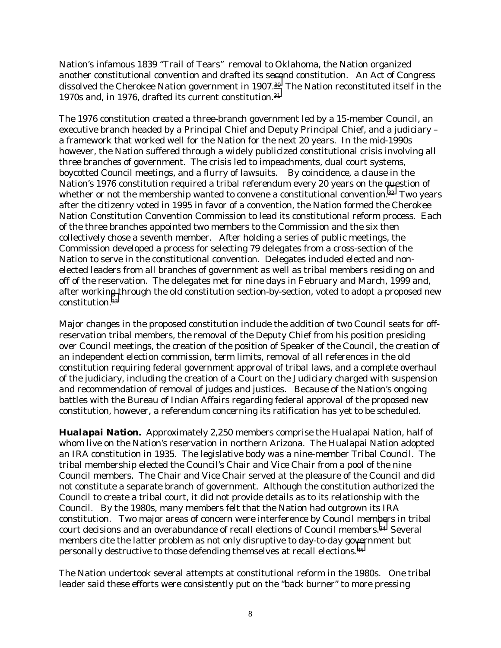Nation's infamous 1839 "Trail of Tears" removal to Oklahoma, the Nation organized another constitutional convention and drafted its s[eco](#page-28-0)nd constitution. An Act of Congress dissolved the Cherokee Nation government in 1907.30 The Nation reconstituted itself in the 1970s and, in 1976, drafted its current constitution.[31](#page-28-0) 

The 1976 constitution created a three-branch government led by a 15-member Council, an executive branch headed by a Principal Chief and Deputy Principal Chief, and a judiciary – a framework that worked well for the Nation for the next 20 years. In the mid-1990s however, the Nation suffered through a widely publicized constitutional crisis involving all three branches of government. The crisis led to impeachments, dual court systems, boycotted Council meetings, and a flurry of lawsuits. By coincidence, a clause in the Nation's 1976 constitution required a tribal referendum every 20 years on the question of whether or not the membership wanted to convene a constitutional convention.<sup>32</sup> Two years after the citizenry voted in 1995 in favor of a convention, the Nation formed the Cherokee Nation Constitution Convention Commission to lead its constitutional reform process. Each of the three branches appointed two members to the Commission and the six then collectively chose a seventh member. After holding a series of public meetings, the Commission developed a process for selecting 79 delegates from a cross-section of the Nation to serve in the constitutional convention. Delegates included elected and nonelected leaders from all branches of government as well as tribal members residing on and off of the reservation. The delegates met for nine days in February and March, 1999 and, after workin[g t](#page-28-0)hrough the old constitution section-by-section, voted to adopt a proposed new constitution.33

Major changes in the proposed constitution include the addition of two Council seats for offreservation tribal members, the removal of the Deputy Chief from his position presiding over Council meetings, the creation of the position of Speaker of the Council, the creation of an independent election commission, term limits, removal of all references in the old constitution requiring federal government approval of tribal laws, and a complete overhaul of the judiciary, including the creation of a Court on the Judiciary charged with suspension and recommendation of removal of judges and justices. Because of the Nation's ongoing battles with the Bureau of Indian Affairs regarding federal approval of the proposed new constitution, however, a referendum concerning its ratification has yet to be scheduled.

*Hualapai Nation.* Approximately 2,250 members comprise the Hualapai Nation, half of whom live on the Nation's reservation in northern Arizona. The Hualapai Nation adopted an IRA constitution in 1935. The legislative body was a nine-member Tribal Council. The tribal membership elected the Council's Chair and Vice Chair from a pool of the nine Council members. The Chair and Vice Chair served at the pleasure of the Council and did not constitute a separate branch of government. Although the constitution authorized the Council to create a tribal court, it did not provide details as to its relationship with the Council. By the 1980s, many members felt that the Nation had outgrown its IRA constitution. Two major areas of concern were interference by Council members in tribal court decisions and an overabundance of recall elections of Council members.[34](#page-28-0) Several members cite the latter problem as not only disruptive to day-to-day go[ver](#page-28-0)nment but personally destructive to those defending themselves at recall elections.35

The Nation undertook several attempts at constitutional reform in the 1980s. One tribal leader said these efforts were consistently put on the "back burner" to more pressing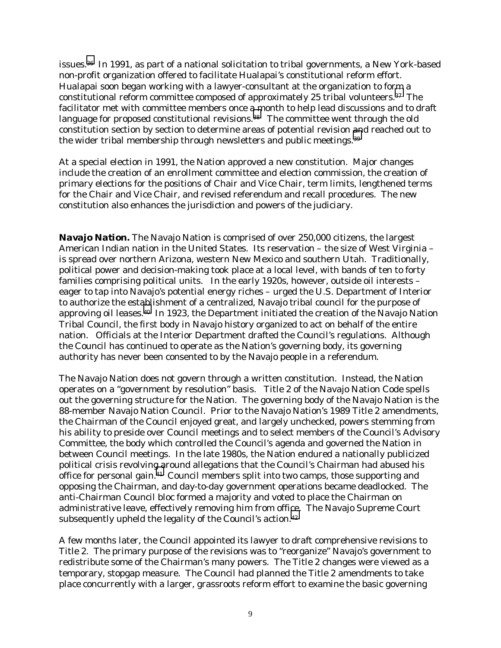issues[.36](#page-28-0) In 1991, as part of a national solicitation to tribal governments, a New York-based non-profit organization offered to facilitate Hualapai's constitutional reform effort. Hualapai soon began working with a lawyer-consultant at the organization to form a constitutional reform committee composed of approximately 25 tribal volunteers.[37](#page-28-0) The facilitator met with committee members once [a m](#page-28-0)onth to help lead discussions and to draft language for proposed constitutional revisions.<sup>38</sup> The committee went through the old constitution section by section to determine areas of potential revision [an](#page-28-0)d reached out to the wider tribal membership through newsletters and public meetings.<sup>39</sup>

At a special election in 1991, the Nation approved a new constitution. Major changes include the creation of an enrollment committee and election commission, the creation of primary elections for the positions of Chair and Vice Chair, term limits, lengthened terms for the Chair and Vice Chair, and revised referendum and recall procedures. The new constitution also enhances the jurisdiction and powers of the judiciary.

*Navajo Nation.* The Navajo Nation is comprised of over 250,000 citizens, the largest American Indian nation in the United States. Its reservation – the size of West Virginia – is spread over northern Arizona, western New Mexico and southern Utah. Traditionally, political power and decision-making took place at a local level, with bands of ten to forty families comprising political units. In the early 1920s, however, outside oil interests – eager to tap into Navajo's potential energy riches – urged the U.S. Department of Interior to authorize the establishment of a centralized, Navajo tribal council for the purpose of approving oil leases.[40](#page-28-0) In 1923, the Department initiated the creation of the Navajo Nation Tribal Council, the first body in Navajo history organized to act on behalf of the entire nation. Officials at the Interior Department drafted the Council's regulations. Although the Council has continued to operate as the Nation's governing body, its governing authority has never been consented to by the Navajo people in a referendum.

The Navajo Nation does not govern through a written constitution. Instead, the Nation operates on a "government by resolution" basis. Title 2 of the Navajo Nation Code spells out the governing structure for the Nation. The governing body of the Navajo Nation is the 88-member Navajo Nation Council. Prior to the Navajo Nation's 1989 Title 2 amendments, the Chairman of the Council enjoyed great, and largely unchecked, powers stemming from his ability to preside over Council meetings and to select members of the Council's Advisory Committee, the body which controlled the Council's agenda and governed the Nation in between Council meetings. In the late 1980s, the Nation endured a nationally publicized political crisis revolving around allegations that the Council's Chairman had abused his office for personal gain.[41](#page-28-0) Council members split into two camps, those supporting and opposing the Chairman, and day-to-day government operations became deadlocked. The anti-Chairman Council bloc formed a majority and voted to place the Chairman on administrative leave, effectively removing him from office. The Navajo Supreme Court subsequently upheld the legality of the Council's action.<sup>42</sup>

A few months later, the Council appointed its lawyer to draft comprehensive revisions to Title 2. The primary purpose of the revisions was to "reorganize" Navajo's government to redistribute some of the Chairman's many powers. The Title 2 changes were viewed as a temporary, stopgap measure. The Council had planned the Title 2 amendments to take place concurrently with a larger, grassroots reform effort to examine the basic governing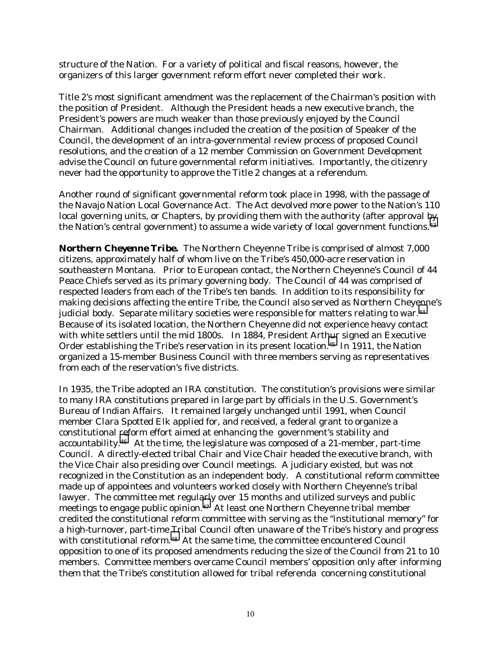structure of the Nation. For a variety of political and fiscal reasons, however, the organizers of this larger government reform effort never completed their work.

Title 2's most significant amendment was the replacement of the Chairman's position with the position of President. Although the President heads a new executive branch, the President's powers are much weaker than those previously enjoyed by the Council Chairman. Additional changes included the creation of the position of Speaker of the Council, the development of an intra-governmental review process of proposed Council resolutions, and the creation of a 12 member Commission on Government Development advise the Council on future governmental reform initiatives. Importantly, the citizenry never had the opportunity to approve the Title 2 changes at a referendum.

Another round of significant governmental reform took place in 1998, with the passage of the Navajo Nation Local Governance Act. The Act devolved more power to the Nation's 110 local governing units, or Chapters, by providing them with the authority (after approval [by](#page-28-0)  the Nation's central government) to assume a wide variety of local government functions.<sup>43</sup>

*Northern Cheyenne Tribe***.** The Northern Cheyenne Tribe is comprised of almost 7,000 citizens, approximately half of whom live on the Tribe's 450,000-acre reservation in southeastern Montana. Prior to European contact, the Northern Cheyenne's Council of 44 Peace Chiefs served as its primary governing body. The Council of 44 was comprised of respected leaders from each of the Tribe's ten bands. In addition to its responsibility for making decisions affecting the entire Tribe, the Council also served as Northern Cheyenne's judicial body. Separate military societies were responsible for matters relating to war.<sup>44</sup> Because of its isolated location, the Northern Cheyenne did not experience heavy contact with white settlers until the mid 1800s. In 1884, President Arthur signed an Executive Order establishing the Tribe's reservation in its present location.[45](#page-28-0) In 1911, the Nation organized a 15-member Business Council with three members serving as representatives from each of the reservation's five districts.

In 1935, the Tribe adopted an IRA constitution. The constitution's provisions were similar to many IRA constitutions prepared in large part by officials in the U.S. Government's Bureau of Indian Affairs. It remained largely unchanged until 1991, when Council member Clara Spotted Elk applied for, and received, a federal grant to organize a constitutional reform effort aimed at enhancing the government's stability and accountability.<sup>46</sup> At the time, the legislature was composed of a 21-member, part-time Council. A directly-elected tribal Chair and Vice Chair headed the executive branch, with the Vice Chair also presiding over Council meetings. A judiciary existed, but was not recognized in the Constitution as an independent body. A constitutional reform committee made up of appointees and volunteers worked closely with Northern Cheyenne's tribal lawyer. The committee met regul[arl](#page-28-0)y over 15 months and utilized surveys and public meetings to engage public opinion.<sup>47</sup> At least one Northern Cheyenne tribal member credited the constitutional reform committee with serving as the "institutional memory" for a high-turnover, part-time Tribal Council often unaware of the Tribe's history and progress with constitutional reform.<sup>48</sup> At the same time, the committee encountered Council opposition to one of its proposed amendments reducing the size of the Council from 21 to 10 members. Committee members overcame Council members' opposition only after informing them that the Tribe's constitution allowed for tribal referenda concerning constitutional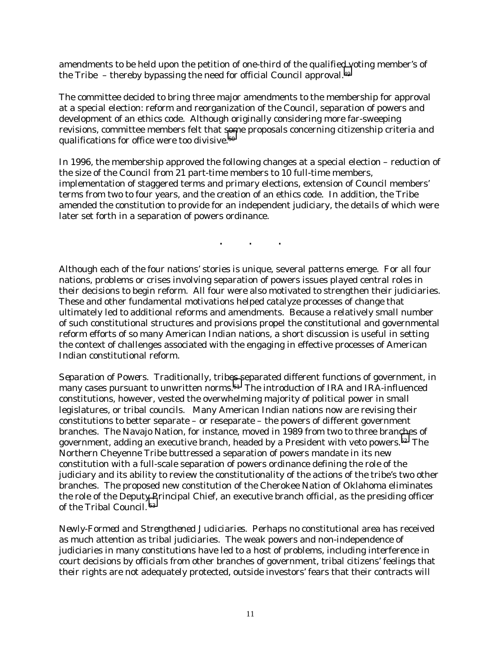amendments to be held upon the petition of one-third of the qualified voting member's of the Tribe – thereby bypassing the need for official Council approval.[49](#page-28-0) 

The committee decided to bring three major amendments to the membership for approval at a special election: reform and reorganization of the Council, separation of powers and development of an ethics code. Although originally considering more far-sweeping revisions, committee members felt that [som](#page-28-0)e proposals concerning citizenship criteria and qualifications for office were too divisive.50

In 1996, the membership approved the following changes at a special election – reduction of the size of the Council from 21 part-time members to 10 full-time members, implementation of staggered terms and primary elections, extension of Council members' terms from two to four years, and the creation of an ethics code. In addition, the Tribe amended the constitution to provide for an independent judiciary, the details of which were later set forth in a separation of powers ordinance.

. . . .

Although each of the four nations' stories is unique, several patterns emerge. For all four nations, problems or crises involving separation of powers issues played central roles in their decisions to begin reform. All four were also motivated to strengthen their judiciaries. These and other fundamental motivations helped catalyze processes of change that ultimately led to additional reforms and amendments. Because a relatively small number of such constitutional structures and provisions propel the constitutional and governmental reform efforts of so many American Indian nations, a short discussion is useful in setting the context of challenges associated with the engaging in effective processes of American Indian constitutional reform.

*Separation of Powers*. Traditionally, trib[es s](#page-28-0)eparated different functions of government, in many cases pursuant to unwritten norms.<sup>51</sup> The introduction of IRA and IRA-influenced constitutions, however, vested the overwhelming majority of political power in small legislatures, or tribal councils. Many American Indian nations now are revising their constitutions to better separate – or reseparate – the powers of different government branches. The Navajo Nation, for instance, moved in 1989 from two to three branches of government, adding an executive branch, headed by a President with veto powers.[52](#page-28-0) The Northern Cheyenne Tribe buttressed a separation of powers mandate in its new constitution with a full-scale separation of powers ordinance defining the role of the judiciary and its ability to review the constitutionality of the actions of the tribe's two other branches. The proposed new constitution of the Cherokee Nation of Oklahoma eliminates the role of the Deput[y P](#page-28-0)rincipal Chief, an executive branch official, as the presiding officer of the Tribal Council. 53

*Newly-Formed and Strengthened Judiciaries.* Perhaps no constitutional area has received as much attention as tribal judiciaries. The weak powers and non-independence of judiciaries in many constitutions have led to a host of problems, including interference in court decisions by officials from other branches of government, tribal citizens' feelings that their rights are not adequately protected, outside investors' fears that their contracts will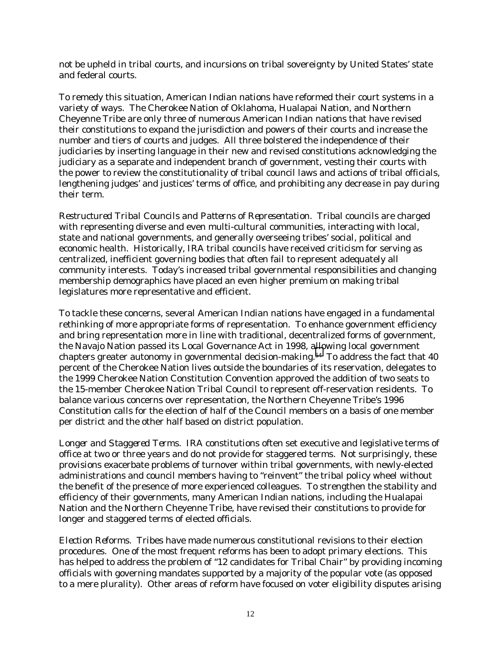not be upheld in tribal courts, and incursions on tribal sovereignty by United States' state and federal courts.

To remedy this situation, American Indian nations have reformed their court systems in a variety of ways. The Cherokee Nation of Oklahoma, Hualapai Nation, and Northern Cheyenne Tribe are only three of numerous American Indian nations that have revised their constitutions to expand the jurisdiction and powers of their courts and increase the number and tiers of courts and judges. All three bolstered the independence of their judiciaries by inserting language in their new and revised constitutions acknowledging the judiciary as a separate and independent branch of government, vesting their courts with the power to review the constitutionality of tribal council laws and actions of tribal officials, lengthening judges' and justices' terms of office, and prohibiting any decrease in pay during their term.

*Restructured Tribal Councils and Patterns of Representation*. Tribal councils are charged with representing diverse and even multi-cultural communities, interacting with local, state and national governments, and generally overseeing tribes' social, political and economic health. Historically, IRA tribal councils have received criticism for serving as centralized, inefficient governing bodies that often fail to represent adequately all community interests. Today's increased tribal governmental responsibilities and changing membership demographics have placed an even higher premium on making tribal legislatures more representative and efficient.

To tackle these concerns, several American Indian nations have engaged in a fundamental rethinking of more appropriate forms of representation. To enhance government efficiency and bring representation more in line with traditional, decentralized forms of government, the Navajo Nation passed its Local Governance Act in 1998, a[llo](#page-28-0)wing local government chapters greater autonomy in governmental decision-making.<sup>54</sup> To address the fact that 40 percent of the Cherokee Nation lives outside the boundaries of its reservation, delegates to the 1999 Cherokee Nation Constitution Convention approved the addition of two seats to the 15-member Cherokee Nation Tribal Council to represent off-reservation residents. To balance various concerns over representation, the Northern Cheyenne Tribe's 1996 Constitution calls for the election of half of the Council members on a basis of one member per district and the other half based on district population.

*Longer and Staggered Terms.* IRA constitutions often set executive and legislative terms of office at two or three years and do not provide for staggered terms. Not surprisingly, these provisions exacerbate problems of turnover within tribal governments, with newly-elected administrations and council members having to "reinvent" the tribal policy wheel without the benefit of the presence of more experienced colleagues. To strengthen the stability and efficiency of their governments, many American Indian nations, including the Hualapai Nation and the Northern Cheyenne Tribe, have revised their constitutions to provide for longer and staggered terms of elected officials.

*Election Reforms.* Tribes have made numerous constitutional revisions to their election procedures. One of the most frequent reforms has been to adopt primary elections. This has helped to address the problem of "12 candidates for Tribal Chair" by providing incoming officials with governing mandates supported by a majority of the popular vote (as opposed to a mere plurality). Other areas of reform have focused on voter eligibility disputes arising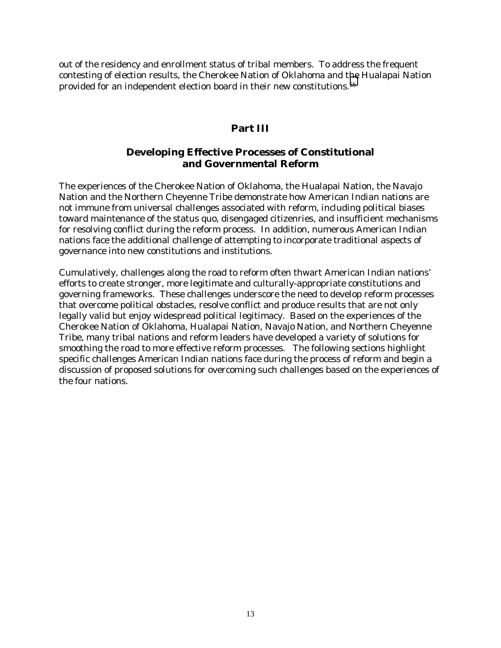out of the residency and enrollment status of tribal members. To address the frequent contesting of election results, the Cherokee Nation of Oklahoma and t[he](#page-28-0) Hualapai Nation provided for an independent election board in their new constitutions.55

## **Part III**

# **Developing Effective Processes of Constitutional and Governmental Reform**

The experiences of the Cherokee Nation of Oklahoma, the Hualapai Nation, the Navajo Nation and the Northern Cheyenne Tribe demonstrate how American Indian nations are not immune from universal challenges associated with reform, including political biases toward maintenance of the status quo, disengaged citizenries, and insufficient mechanisms for resolving conflict during the reform process. In addition, numerous American Indian nations face the additional challenge of attempting to incorporate traditional aspects of governance into new constitutions and institutions.

Cumulatively, challenges along the road to reform often thwart American Indian nations' efforts to create stronger, more legitimate and culturally-appropriate constitutions and governing frameworks. These challenges underscore the need to develop reform processes that overcome political obstacles, resolve conflict and produce results that are not only legally valid but enjoy widespread political legitimacy. Based on the experiences of the Cherokee Nation of Oklahoma, Hualapai Nation, Navajo Nation, and Northern Cheyenne Tribe, many tribal nations and reform leaders have developed a variety of solutions for smoothing the road to more effective reform processes. The following sections highlight specific challenges American Indian nations face during the process of reform and begin a discussion of proposed solutions for overcoming such challenges based on the experiences of the four nations.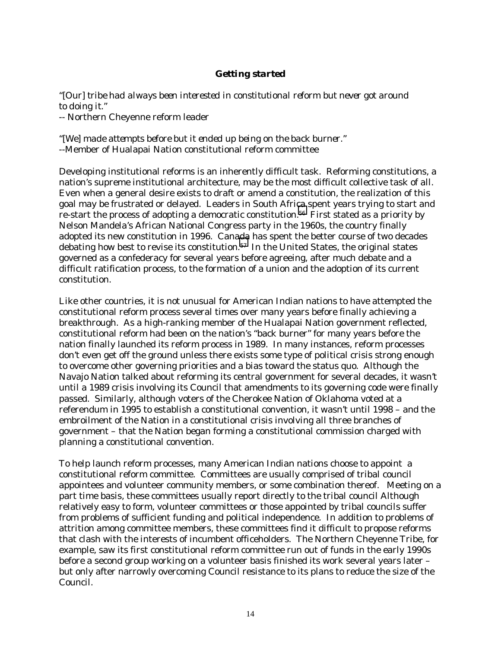## *Getting started*

*"[Our] tribe had always been interested in constitutional reform but never got around to doing it."* -- Northern Cheyenne reform leader

*"[We] made attempts before but it ended up being on the back burner.*" --Member of Hualapai Nation constitutional reform committee

Developing institutional reforms is an inherently difficult task. Reforming constitutions, a nation's supreme institutional architecture, may be the most difficult collective task of all. Even when a general desire exists to draft or amend a constitution, the realization of this goal may be frustrated or delayed. Leaders in South Africa spent years trying to start and re-start the process of adopting a democratic constitution.<sup>56</sup> First stated as a priority by Nelson Mandela's African National Congress party in the 1960s, the country finally adopted its new constitution in 1996. Cana[da](#page-28-0) has spent the better course of two decades debating how best to revise its constitution.<sup>57</sup> In the United States, the original states governed as a confederacy for several years before agreeing, after much debate and a difficult ratification process, to the formation of a union and the adoption of its current constitution.

Like other countries, it is not unusual for American Indian nations to have attempted the constitutional reform process several times over many years before finally achieving a breakthrough. As a high-ranking member of the Hualapai Nation government reflected, constitutional reform had been on the nation's "back burner" for many years before the nation finally launched its reform process in 1989. In many instances, reform processes don't even get off the ground unless there exists some type of political crisis strong enough to overcome other governing priorities and a bias toward the status quo. Although the Navajo Nation talked about reforming its central government for several decades, it wasn't until a 1989 crisis involving its Council that amendments to its governing code were finally passed. Similarly, although voters of the Cherokee Nation of Oklahoma voted at a referendum in 1995 to establish a constitutional convention, it wasn't until 1998 – and the embroilment of the Nation in a constitutional crisis involving all three branches of government – that the Nation began forming a constitutional commission charged with planning a constitutional convention.

To help launch reform processes, many American Indian nations choose to appoint a constitutional reform committee. Committees are usually comprised of tribal council appointees and volunteer community members, or some combination thereof. Meeting on a part time basis, these committees usually report directly to the tribal council Although relatively easy to form, volunteer committees or those appointed by tribal councils suffer from problems of sufficient funding and political independence. In addition to problems of attrition among committee members, these committees find it difficult to propose reforms that clash with the interests of incumbent officeholders. The Northern Cheyenne Tribe, for example, saw its first constitutional reform committee run out of funds in the early 1990s before a second group working on a volunteer basis finished its work several years later – but only after narrowly overcoming Council resistance to its plans to reduce the size of the Council.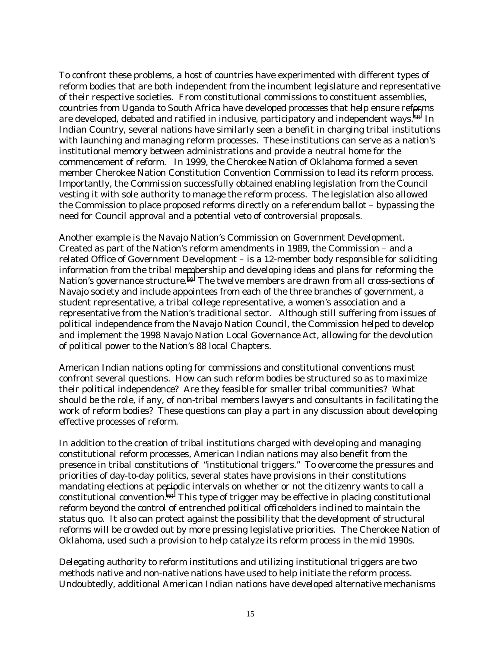To confront these problems, a host of countries have experimented with different types of reform bodies that are both independent from the incumbent legislature and representative of their respective societies. From constitutional commissions to constituent assemblies, countries from Uganda to South Africa have developed processes that help ensure ref[or](#page-28-0)ms are developed, debated and ratified in inclusive, participatory and independent ways.<sup>58</sup> In Indian Country, several nations have similarly seen a benefit in charging tribal institutions with launching and managing reform processes. These institutions can serve as a nation's institutional memory between administrations and provide a neutral home for the commencement of reform. In 1999, the Cherokee Nation of Oklahoma formed a seven member Cherokee Nation Constitution Convention Commission to lead its reform process. Importantly, the Commission successfully obtained enabling legislation from the Council vesting it with sole authority to manage the reform process. The legislation also allowed the Commission to place proposed reforms directly on a referendum ballot – bypassing the need for Council approval and a potential veto of controversial proposals.

Another example is the Navajo Nation's Commission on Government Development. Created as part of the Nation's reform amendments in 1989, the Commission – and a related Office of Government Development – is a 12-member body responsible for soliciting information from the tribal membership and developing ideas and plans for reforming the Nation's governance structure.<sup>59</sup> The twelve members are drawn from all cross-sections of Navajo society and include appointees from each of the three branches of government, a student representative, a tribal college representative, a women's association and a representative from the Nation's traditional sector. Although still suffering from issues of political independence from the Navajo Nation Council, the Commission helped to develop and implement the 1998 Navajo Nation Local Governance Act, allowing for the devolution of political power to the Nation's 88 local Chapters.

American Indian nations opting for commissions and constitutional conventions must confront several questions. How can such reform bodies be structured so as to maximize their political independence? Are they feasible for smaller tribal communities? What should be the role, if any, of non-tribal members lawyers and consultants in facilitating the work of reform bodies? These questions can play a part in any discussion about developing effective processes of reform.

In addition to the creation of tribal institutions charged with developing and managing constitutional reform processes, American Indian nations may also benefit from the presence in tribal constitutions of "institutional triggers." To overcome the pressures and priorities of day-to-day politics, several states have provisions in their constitutions mandating elections at pe[rio](#page-28-0)dic intervals on whether or not the citizenry wants to call a constitutional convention.60 This type of trigger may be effective in placing constitutional reform beyond the control of entrenched political officeholders inclined to maintain the status quo. It also can protect against the possibility that the development of structural reforms will be crowded out by more pressing legislative priorities. The Cherokee Nation of Oklahoma, used such a provision to help catalyze its reform process in the mid 1990s.

Delegating authority to reform institutions and utilizing institutional triggers are two methods native and non-native nations have used to help initiate the reform process. Undoubtedly, additional American Indian nations have developed alternative mechanisms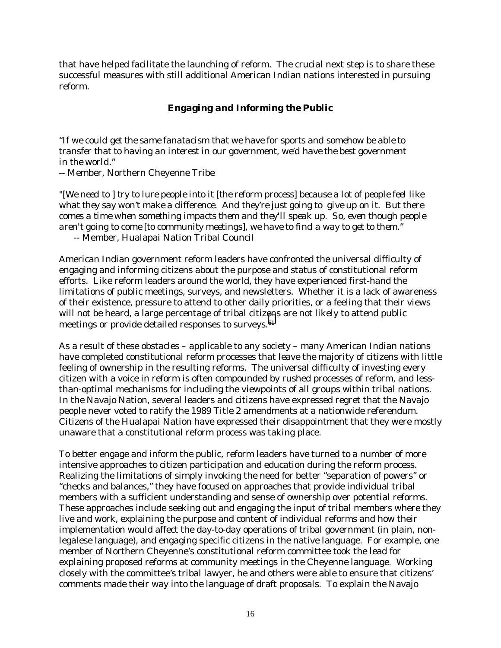that have helped facilitate the launching of reform. The crucial next step is to share these successful measures with still additional American Indian nations interested in pursuing reform.

# *Engaging and Informing the Public*

"*If we could get the same fanatacism that we have for sports and somehow be able to transfer that to having an interest in our government, we'd have the best government in the world."*

-- Member, Northern Cheyenne Tribe

*"[We need to ] try to lure people into it [the reform process] because a lot of people feel like what they say won't make a difference. And they're just going to give up on it. But there comes a time when something impacts them and they'll speak up. So, even though people aren't going to come [to community meetings], we have to find a way to get to them." --* Member, Hualapai Nation Tribal Council

American Indian government reform leaders have confronted the universal difficulty of engaging and informing citizens about the purpose and status of constitutional reform efforts. Like reform leaders around the world, they have experienced first-hand the limitations of public meetings, surveys, and newsletters. Whether it is a lack of awareness of their existence, pressure to attend to other daily priorities, or a feeling that their views will not be heard, a large percentage of tribal citiz[en](#page-28-0)s are not likely to attend public meetings or provide detailed responses to surveys.<sup>61</sup>

As a result of these obstacles – applicable to any society – many American Indian nations have completed constitutional reform processes that leave the majority of citizens with little feeling of ownership in the resulting reforms. The universal difficulty of investing every citizen with a voice in reform is often compounded by rushed processes of reform, and lessthan-optimal mechanisms for including the viewpoints of all groups within tribal nations. In the Navajo Nation, several leaders and citizens have expressed regret that the Navajo people never voted to ratify the 1989 Title 2 amendments at a nationwide referendum. Citizens of the Hualapai Nation have expressed their disappointment that they were mostly unaware that a constitutional reform process was taking place.

To better engage and inform the public, reform leaders have turned to a number of more intensive approaches to citizen participation and education during the reform process. Realizing the limitations of simply invoking the need for better "separation of powers" or "checks and balances," they have focused on approaches that provide individual tribal members with a sufficient understanding and sense of ownership over potential reforms. These approaches include seeking out and engaging the input of tribal members where they live and work, explaining the purpose and content of individual reforms and how their implementation would affect the day-to-day operations of tribal government (in plain, nonlegalese language), and engaging specific citizens in the native language. For example, one member of Northern Cheyenne's constitutional reform committee took the lead for explaining proposed reforms at community meetings in the Cheyenne language. Working closely with the committee's tribal lawyer, he and others were able to ensure that citizens' comments made their way into the language of draft proposals. To explain the Navajo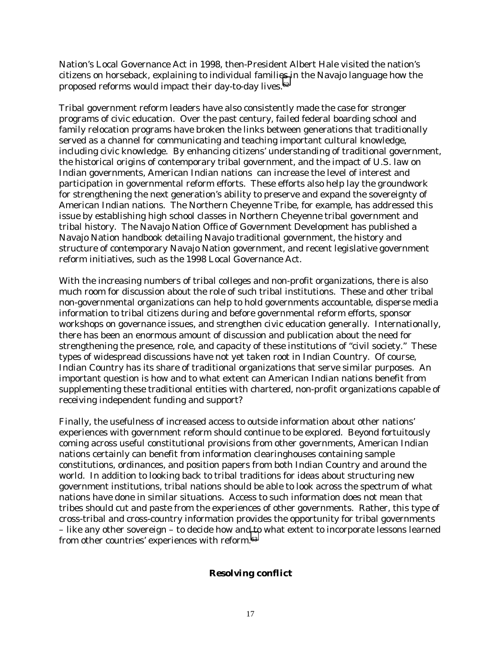Nation's Local Governance Act in 1998, then-President Albert Hale visited the nation's citizens on horseback, explaining to individual famili[es i](#page-28-0)n the Navajo language how the proposed reforms would impact their day-to-day lives.62

Tribal government reform leaders have also consistently made the case for stronger programs of civic education. Over the past century, failed federal boarding school and family relocation programs have broken the links between generations that traditionally served as a channel for communicating and teaching important cultural knowledge, including civic knowledge. By enhancing citizens' understanding of traditional government, the historical origins of contemporary tribal government, and the impact of U.S. law on Indian governments, American Indian nations can increase the level of interest and participation in governmental reform efforts. These efforts also help lay the groundwork for strengthening the next generation's ability to preserve and expand the sovereignty of American Indian nations. The Northern Cheyenne Tribe, for example, has addressed this issue by establishing high school classes in Northern Cheyenne tribal government and tribal history. The Navajo Nation Office of Government Development has published a Navajo Nation handbook detailing Navajo traditional government, the history and structure of contemporary Navajo Nation government, and recent legislative government reform initiatives, such as the 1998 Local Governance Act.

With the increasing numbers of tribal colleges and non-profit organizations, there is also much room for discussion about the role of such tribal institutions. These and other tribal non-governmental organizations can help to hold governments accountable, disperse media information to tribal citizens during and before governmental reform efforts, sponsor workshops on governance issues, and strengthen civic education generally. Internationally, there has been an enormous amount of discussion and publication about the need for strengthening the presence, role, and capacity of these institutions of "civil society." These types of widespread discussions have not yet taken root in Indian Country. Of course, Indian Country has its share of traditional organizations that serve similar purposes. An important question is how and to what extent can American Indian nations benefit from supplementing these traditional entities with chartered, non-profit organizations capable of receiving independent funding and support?

Finally, the usefulness of increased access to outside information about other nations' experiences with government reform should continue to be explored. Beyond fortuitously coming across useful constitutional provisions from other governments, American Indian nations certainly can benefit from information clearinghouses containing sample constitutions, ordinances, and position papers from both Indian Country and around the world. In addition to looking back to tribal traditions for ideas about structuring new government institutions, tribal nations should be able to look across the spectrum of what nations have done in similar situations. Access to such information does not mean that tribes should cut and paste from the experiences of other governments. Rather, this type of cross-tribal and cross-country information provides the opportunity for tribal governments – like any other sovereign – to decide how and [to](#page-28-0) what extent to incorporate lessons learned from other countries' experiences with reform.63

## *Resolving conflict*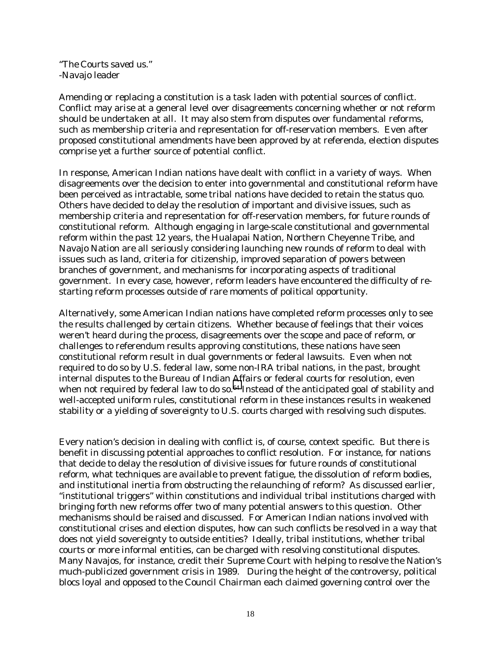"*The Courts saved us."* -Navajo leader

Amending or replacing a constitution is a task laden with potential sources of conflict. Conflict may arise at a general level over disagreements concerning whether or not reform should be undertaken at all. It may also stem from disputes over fundamental reforms, such as membership criteria and representation for off-reservation members. Even after proposed constitutional amendments have been approved by at referenda, election disputes comprise yet a further source of potential conflict.

In response, American Indian nations have dealt with conflict in a variety of ways. When disagreements over the decision to enter into governmental and constitutional reform have been perceived as intractable, some tribal nations have decided to retain the status quo. Others have decided to delay the resolution of important and divisive issues, such as membership criteria and representation for off-reservation members, for future rounds of constitutional reform. Although engaging in large-scale constitutional and governmental reform within the past 12 years, the Hualapai Nation, Northern Cheyenne Tribe, and Navajo Nation are all seriously considering launching new rounds of reform to deal with issues such as land, criteria for citizenship, improved separation of powers between branches of government, and mechanisms for incorporating aspects of traditional government. In every case, however, reform leaders have encountered the difficulty of restarting reform processes outside of rare moments of political opportunity.

Alternatively, some American Indian nations have completed reform processes only to see the results challenged by certain citizens. Whether because of feelings that their voices weren't heard during the process, disagreements over the scope and pace of reform, or challenges to referendum results approving constitutions, these nations have seen constitutional reform result in dual governments or federal lawsuits. Even when not required to do so by U.S. federal law, some non-IRA tribal nations, in the past, brought internal disputes to the Bureau of Indian Affairs or federal courts for resolution, even when not required by federal law to do so.<sup>64</sup> Instead of the anticipated goal of stability and well-accepted uniform rules, constitutional reform in these instances results in weakened stability or a yielding of sovereignty to U.S. courts charged with resolving such disputes.

Every nation's decision in dealing with conflict is, of course, context specific. But there is benefit in discussing potential approaches to conflict resolution. For instance, for nations that decide to delay the resolution of divisive issues for future rounds of constitutional reform, what techniques are available to prevent fatigue, the dissolution of reform bodies, and institutional inertia from obstructing the relaunching of reform? As discussed earlier, "institutional triggers" within constitutions and individual tribal institutions charged with bringing forth new reforms offer two of many potential answers to this question. Other mechanisms should be raised and discussed. For American Indian nations involved with constitutional crises and election disputes, how can such conflicts be resolved in a way that does not yield sovereignty to outside entities? Ideally, tribal institutions, whether tribal courts or more informal entities, can be charged with resolving constitutional disputes. Many Navajos, for instance, credit their Supreme Court with helping to resolve the Nation's much-publicized government crisis in 1989. During the height of the controversy, political blocs loyal and opposed to the Council Chairman each claimed governing control over the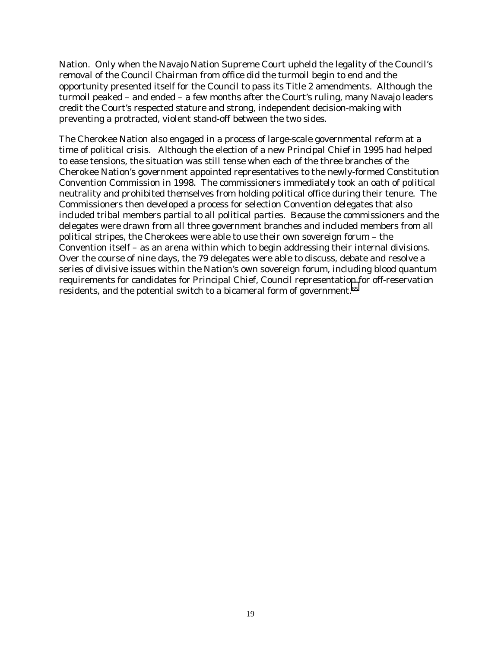Nation. Only when the Navajo Nation Supreme Court upheld the legality of the Council's removal of the Council Chairman from office did the turmoil begin to end and the opportunity presented itself for the Council to pass its Title 2 amendments. Although the turmoil peaked – and ended – a few months after the Court's ruling, many Navajo leaders credit the Court's respected stature and strong, independent decision-making with preventing a protracted, violent stand-off between the two sides.

The Cherokee Nation also engaged in a process of large-scale governmental reform at a time of political crisis. Although the election of a new Principal Chief in 1995 had helped to ease tensions, the situation was still tense when each of the three branches of the Cherokee Nation's government appointed representatives to the newly-formed Constitution Convention Commission in 1998. The commissioners immediately took an oath of political neutrality and prohibited themselves from holding political office during their tenure. The Commissioners then developed a process for selection Convention delegates that also included tribal members partial to all political parties. Because the commissioners and the delegates were drawn from all three government branches and included members from all political stripes, the Cherokees were able to use their own sovereign forum – the Convention itself – as an arena within which to begin addressing their internal divisions. Over the course of nine days, the 79 delegates were able to discuss, debate and resolve a series of divisive issues within the Nation's own sovereign forum, including blood quantum requirements for candidates for Principal Chief, Council representation for off-reservation residents, and the potential switch to a bicameral form of government.[65](#page-28-0)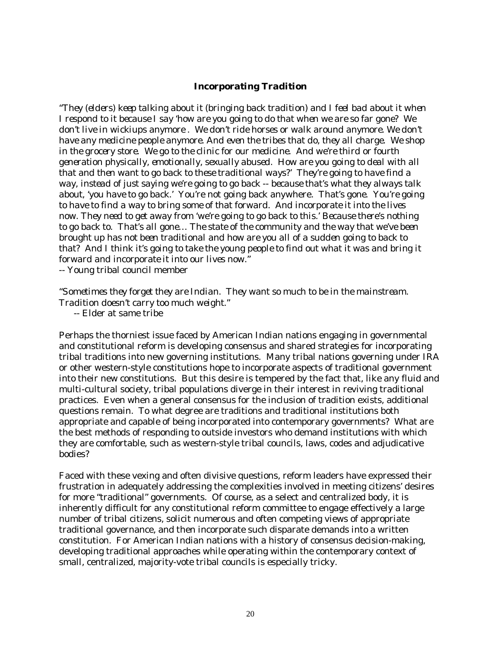### *Incorporating Tradition*

"*They (elders) keep talking about it (bringing back tradition) and I feel bad about it when I respond to it because I say 'how are you going to do that when we are so far gone? We don't live in wickiups anymore . We don't ride horses or walk around anymore. We don't have any medicine people anymore. And even the tribes that do, they all charge. We shop in the grocery store. We go to the clinic for our medicine. And we're third or fourth generation physically, emotionally, sexually abused. How are you going to deal with all that and then want to go back to these traditional ways?' They're going to have find a way, instead of just saying we're going to go back -- because that's what they always talk about, 'you have to go back.'* You're not going back anywhere. *That's gone. You're going to have to find a way to bring some of that forward. And incorporate it into the lives now. They need to get away from 'we're going to go back to this.' Because there's nothing to go back to. That's all gone… The state of the community and the way that we've been brought up has not been traditional and how are you all of a sudden going to back to that? And I think it's going to take the young people to find out what it was and bring it forward and incorporate it into our lives now."*

-- Young tribal council member

*"Sometimes they forget they are Indian. They want so much to be in the mainstream. Tradition doesn't carry too much weight."*

-- Elder at same tribe

Perhaps the thorniest issue faced by American Indian nations engaging in governmental and constitutional reform is developing consensus and shared strategies for incorporating tribal traditions into new governing institutions.Many tribal nations governing under IRA or other western-style constitutions hope to incorporate aspects of traditional government into their new constitutions. But this desire is tempered by the fact that, like any fluid and multi-cultural society, tribal populations diverge in their interest in reviving traditional practices. Even when a general consensus for the inclusion of tradition exists, additional questions remain. To what degree are traditions and traditional institutions both appropriate and capable of being incorporated into contemporary governments? What are the best methods of responding to outside investors who demand institutions with which they are comfortable, such as western-style tribal councils, laws, codes and adjudicative bodies?

Faced with these vexing and often divisive questions, reform leaders have expressed their frustration in adequately addressing the complexities involved in meeting citizens' desires for more "traditional" governments. Of course, as a select and centralized body, it is inherently difficult for any constitutional reform committee to engage effectively a large number of tribal citizens, solicit numerous and often competing views of appropriate traditional governance, and then incorporate such disparate demands into a written constitution. For American Indian nations with a history of consensus decision-making, developing traditional approaches while operating within the contemporary context of small, centralized, majority-vote tribal councils is especially tricky.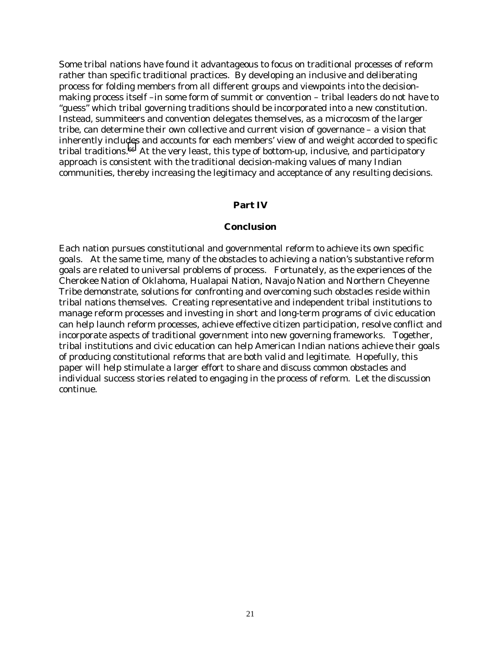Some tribal nations have found it advantageous to focus on traditional *processes* of reform rather than specific traditional practices. By developing an inclusive and deliberating process for folding members from all different groups and viewpoints into the decisionmaking process itself –in some form of summit or convention – tribal leaders do not have to "guess" which tribal governing traditions should be incorporated into a new constitution. Instead, summiteers and convention delegates themselves, as a microcosm of the larger tribe, can determine their own collective and *current* vision of governance – a vision that inherently includes and accounts for each members' view of and weight accorded to specific tribal traditions.<sup>66</sup> At the very least, this type of bottom-up, inclusive, and participatory approach is consistent with the traditional decision-making values of many Indian communities, thereby increasing the legitimacy and acceptance of any resulting decisions.

#### **Part IV**

#### **Conclusion**

Each nation pursues constitutional and governmental reform to achieve its own specific goals. At the same time, many of the obstacles to achieving a nation's substantive reform goals are related to universal problems of process. Fortunately, as the experiences of the Cherokee Nation of Oklahoma, Hualapai Nation, Navajo Nation and Northern Cheyenne Tribe demonstrate, solutions for confronting and overcoming such obstacles reside within tribal nations themselves. Creating representative and independent tribal institutions to manage reform processes and investing in short and long-term programs of civic education can help launch reform processes, achieve effective citizen participation, resolve conflict and incorporate aspects of traditional government into new governing frameworks. Together, tribal institutions and civic education can help American Indian nations achieve their goals of producing constitutional reforms that are both valid and legitimate. Hopefully, this paper will help stimulate a larger effort to share and discuss common obstacles and individual success stories related to engaging in the process of reform. Let the discussion continue.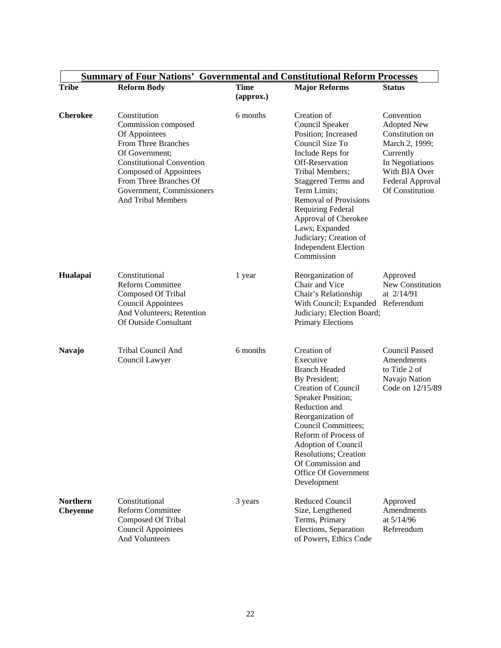|                                    | <b>Summary of Four Nations' Governmental and Constitutional Reform Processes</b>                                                                                                                                                                |                          |                                                                                                                                                                                                                                                                                                                                                               |                                                                                                                                                               |
|------------------------------------|-------------------------------------------------------------------------------------------------------------------------------------------------------------------------------------------------------------------------------------------------|--------------------------|---------------------------------------------------------------------------------------------------------------------------------------------------------------------------------------------------------------------------------------------------------------------------------------------------------------------------------------------------------------|---------------------------------------------------------------------------------------------------------------------------------------------------------------|
| <b>Tribe</b>                       | <b>Reform Body</b>                                                                                                                                                                                                                              | <b>Time</b><br>(approx.) | <b>Major Reforms</b>                                                                                                                                                                                                                                                                                                                                          | <b>Status</b>                                                                                                                                                 |
| <b>Cherokee</b>                    | Constitution<br>Commission composed<br>Of Appointees<br>From Three Branches<br>Of Government:<br><b>Constitutional Convention</b><br>Composed of Appointees<br>From Three Branches Of<br>Government, Commissioners<br><b>And Tribal Members</b> | 6 months                 | Creation of<br>Council Speaker<br>Position; Increased<br>Council Size To<br>Include Reps for<br>Off-Reservation<br>Tribal Members;<br><b>Staggered Terms and</b><br>Term Limits;<br><b>Removal of Provisions</b><br><b>Requiring Federal</b><br>Approval of Cherokee<br>Laws; Expanded<br>Judiciary; Creation of<br><b>Independent Election</b><br>Commission | Convention<br><b>Adopted New</b><br>Constitution on<br>March 2, 1999;<br>Currently<br>In Negotiations<br>With BIA Over<br>Federal Approval<br>Of Constitution |
| Hualapai                           | Constitutional<br><b>Reform Committee</b><br>Composed Of Tribal<br><b>Council Appointees</b><br>And Volunteers; Retention<br>Of Outside Consultant                                                                                              | 1 year                   | Reorganization of<br>Chair and Vice<br>Chair's Relationship<br>With Council; Expanded Referendum<br>Judiciary; Election Board;<br><b>Primary Elections</b>                                                                                                                                                                                                    | Approved<br>New Constitution<br>at 2/14/91                                                                                                                    |
| <b>Navajo</b>                      | Tribal Council And<br>Council Lawyer                                                                                                                                                                                                            | 6 months                 | Creation of<br>Executive<br><b>Branch Headed</b><br>By President;<br><b>Creation of Council</b><br><b>Speaker Position;</b><br>Reduction and<br>Reorganization of<br>Council Committees;<br>Reform of Process of<br>Adoption of Council<br><b>Resolutions</b> ; Creation<br>Of Commission and<br>Office Of Government<br>Development                          | <b>Council Passed</b><br>Amendments<br>to Title 2 of<br>Navajo Nation<br>Code on 12/15/89                                                                     |
| <b>Northern</b><br><b>Cheyenne</b> | Constitutional<br><b>Reform Committee</b><br>Composed Of Tribal<br><b>Council Appointees</b><br>And Volunteers                                                                                                                                  | 3 years                  | <b>Reduced Council</b><br>Size, Lengthened<br>Terms, Primary<br>Elections, Separation<br>of Powers, Ethics Code                                                                                                                                                                                                                                               | Approved<br>Amendments<br>at $5/14/96$<br>Referendum                                                                                                          |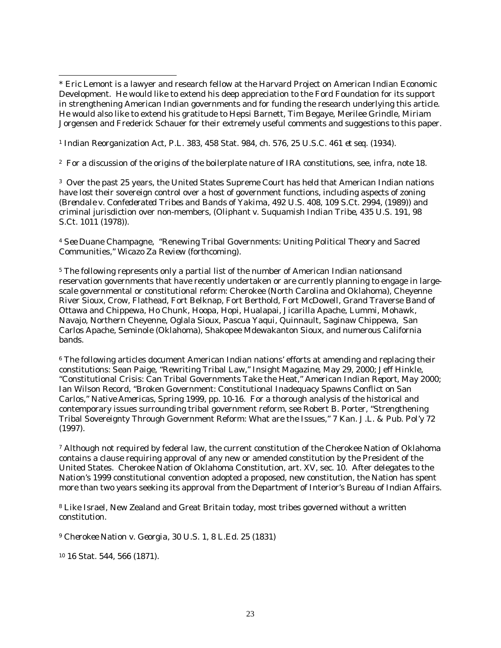1 Indian Reorganization Act, P.L. 383, 458 Stat. 984, ch. 576, 25 U.S.C. 461 *et seq*. (1934).

2 For a discussion of the origins of the boilerplate nature of IRA constitutions, see, *infra*, note 18.

3 Over the past 25 years, the United States Supreme Court has held that American Indian nations have lost their sovereign control over a host of government functions, including aspects of zoning (*Brendale v. Confederated Tribes and Bands of Yakima,* 492 U.S. 408, 109 S.Ct. 2994, (1989)) and criminal jurisdiction over non-members, (*Oliphant v. Suquamish Indian Tribe,* 435 U.S. 191, 98 S.Ct. 1011 (1978)).

<sup>4</sup> *See* Duane Champagne, "Renewing Tribal Governments: Uniting Political Theory and Sacred Communities," *Wicazo Za Review (forthcoming)*.

5 The following represents only a partial list of the number of American Indian nationsand reservation governments that have recently undertaken or are currently planning to engage in largescale governmental or constitutional reform: Cherokee (North Carolina and Oklahoma), Cheyenne River Sioux, Crow, Flathead, Fort Belknap, Fort Berthold, Fort McDowell, Grand Traverse Band of Ottawa and Chippewa, Ho Chunk, Hoopa, Hopi, Hualapai, Jicarilla Apache, Lummi, Mohawk, Navajo, Northern Cheyenne, Oglala Sioux, Pascua Yaqui, Quinnault, Saginaw Chippewa, San Carlos Apache, Seminole (Oklahoma), Shakopee Mdewakanton Sioux, and numerous California bands.

<sup>6</sup> The following articles document American Indian nations' efforts at amending and replacing their constitutions: Sean Paige, "Rewriting Tribal Law," *Insight Magazine*, May 29, 2000; Jeff Hinkle, "Constitutional Crisis: Can Tribal Governments Take the Heat," *American Indian Report*, May 2000; Ian Wilson Record, "Broken Government: Constitutional Inadequacy Spawns Conflict on San Carlos," *Native Americas*, Spring 1999, pp. 10-16. For a thorough analysis of the historical and contemporary issues surrounding tribal government reform, see Robert B. Porter, "Strengthening Tribal Sovereignty Through Government Reform: What are the Issues," 7 *Kan. J.L. & Pub. Pol'y* 72 (1997).

7 Although not required by federal law, the current constitution of the Cherokee Nation of Oklahoma contains a clause requiring approval of any new or amended constitution by the President of the United States. Cherokee Nation of Oklahoma Constitution, art. XV, sec. 10. After delegates to the Nation's 1999 constitutional convention adopted a proposed, new constitution, the Nation has spent more than two years seeking its approval from the Department of Interior's Bureau of Indian Affairs.

8 Like Israel, New Zealand and Great Britain today, most tribes governed without a written constitution.

<sup>9</sup> *Cherokee Nation v. Georgia*, 30 U.S. 1, 8 L.Ed. 25 (1831)

10 16 Stat. 544, 566 (1871).

 $\overline{\phantom{a}}$ \* Eric Lemont is a lawyer and research fellow at the Harvard Project on American Indian Economic Development. He would like to extend his deep appreciation to the Ford Foundation for its support in strengthening American Indian governments and for funding the research underlying this article. He would also like to extend his gratitude to Hepsi Barnett, Tim Begaye, Merilee Grindle, Miriam Jorgensen and Frederick Schauer for their extremely useful comments and suggestions to this paper.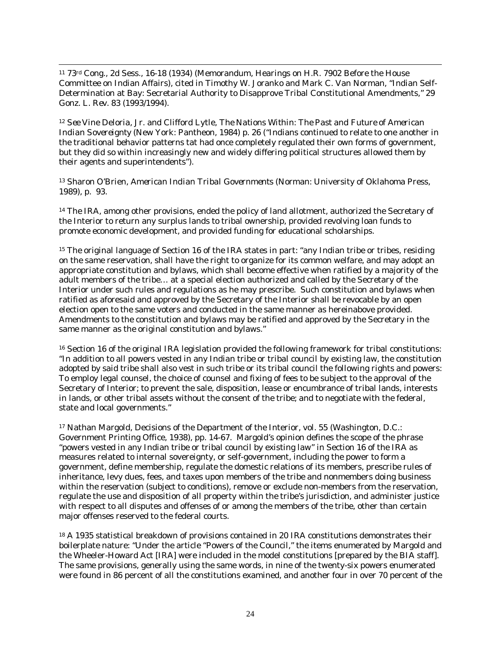11 73rd Cong., 2d Sess., 16-18 (1934) (Memorandum, Hearings on H.R. 7902 Before the House Committee on Indian Affairs), cited in Timothy W. Joranko and Mark C. Van Norman, "Indian Self-Determination at Bay: Secretarial Authority to Disapprove Tribal Constitutional Amendments," 29 *Gonz. L. Rev.* 83 (1993/1994).

 $\overline{a}$ 

<sup>12</sup> *See* Vine Deloria, Jr. and Clifford Lytle, *The Nations Within: The Past and Future of American Indian Sovereignty* (New York: Pantheon, 1984) p. 26 ("Indians continued to relate to one another in the traditional behavior patterns tat had once completely regulated their own forms of government, but they did so within increasingly new and widely differing political structures allowed them by their agents and superintendents").

13 Sharon O'Brien, *American Indian Tribal Governments* (Norman: University of Oklahoma Press, 1989), p. 93.

<sup>14</sup> The IRA, among other provisions, ended the policy of land allotment, authorized the Secretary of the Interior to return any surplus lands to tribal ownership, provided revolving loan funds to promote economic development, and provided funding for educational scholarships.

15 The original language of Section 16 of the IRA states in part: "any Indian tribe or tribes, residing on the same reservation, shall have the right to organize for its common welfare, and may adopt an appropriate constitution and bylaws, which shall become effective when ratified by a majority of the adult members of the tribe… at a special election authorized and called by the Secretary of the Interior under such rules and regulations as he may prescribe. Such constitution and bylaws when ratified as aforesaid and approved by the Secretary of the Interior shall be revocable by an open election open to the same voters and conducted in the same manner as hereinabove provided. Amendments to the constitution and bylaws may be ratified and approved by the Secretary in the same manner as the original constitution and bylaws."

16 Section 16 of the original IRA legislation provided the following framework for tribal constitutions: "In addition to all powers vested in any Indian tribe or tribal council by existing law, the constitution adopted by said tribe shall also vest in such tribe or its tribal council the following rights and powers: To employ legal counsel, the choice of counsel and fixing of fees to be subject to the approval of the Secretary of Interior; to prevent the sale, disposition, lease or encumbrance of tribal lands, interests in lands, or other tribal assets without the consent of the tribe; and to negotiate with the federal, state and local governments."

17 Nathan Margold, Decisions of the Department of the Interior, vol. 55 (Washington, D.C.: Government Printing Office, 1938), pp. 14-67. Margold's opinion defines the scope of the phrase "powers vested in any Indian tribe or tribal council by existing law" in Section 16 of the IRA as measures related to internal sovereignty, or self-government, including the power to form a government, define membership, regulate the domestic relations of its members, prescribe rules of inheritance, levy dues, fees, and taxes upon members of the tribe and nonmembers doing business within the reservation (subject to conditions), remove or exclude non-members from the reservation, regulate the use and disposition of all property within the tribe's jurisdiction, and administer justice with respect to all disputes and offenses of or among the members of the tribe, other than certain major offenses reserved to the federal courts.

<sup>18</sup> A 1935 statistical breakdown of provisions contained in 20 IRA constitutions demonstrates their boilerplate nature: "Under the article "Powers of the Council," the items enumerated by Margold and the Wheeler-Howard Act [IRA] were included in the model constitutions [prepared by the BIA staff]. The same provisions, generally using the same words, in nine of the twenty-six powers enumerated were found in 86 percent of all the constitutions examined, and another four in over 70 percent of the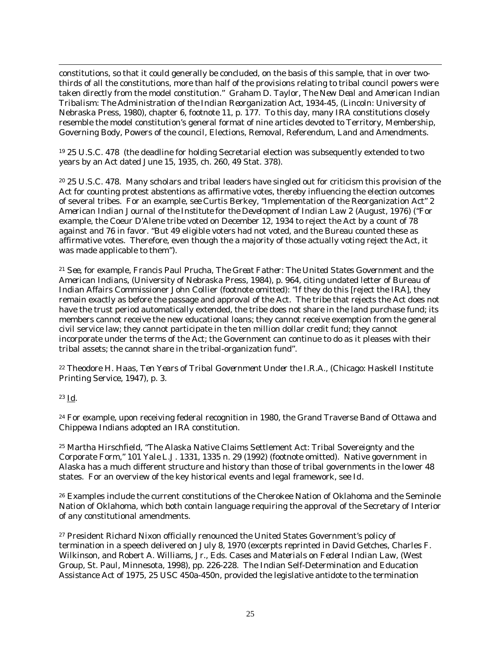constitutions, so that it could generally be concluded, on the basis of this sample, that in over twothirds of all the constitutions, more than half of the provisions relating to tribal council powers were taken directly from the model constitution." Graham D. Taylor, *The New Deal and American Indian Tribalism*: *The Administration of the Indian Reorganization Act, 1934-45*, (Lincoln: University of Nebraska Press, 1980), chapter 6, footnote 11, p. 177. To this day, many IRA constitutions closely resemble the model constitution's general format of nine articles devoted to Territory, Membership, Governing Body, Powers of the council, Elections, Removal, Referendum, Land and Amendments.

19 25 U.S.C. 478 (the deadline for holding Secretarial election was subsequently extended to two years by an Act dated June 15, 1935, ch. 260, 49 Stat. 378).

20 25 U.S.C. 478. Many scholars and tribal leaders have singled out for criticism this provision of the Act for counting protest abstentions as affirmative votes, thereby influencing the election outcomes of several tribes. For an example, s*ee* Curtis Berkey, "Implementation of the Reorganization Act" 2 *American Indian Journal of the Institute for the Development of Indian Law 2* (August, 1976) ("For example, the Coeur D'Alene tribe voted on December 12, 1934 to reject the Act by a count of 78 against and 76 in favor. "But 49 eligible voters had not voted, and the Bureau counted these as affirmative votes. Therefore, even though the a majority of those actually voting reject the Act, it was made applicable to them").

<sup>21</sup> *See,* for example, Francis Paul Prucha, *The Great Father: The United States Government and the American Indians*, (University of Nebraska Press, 1984), p. 964, citing undated letter of Bureau of Indian Affairs Commissioner John Collier (footnote omitted): "If they do this [reject the IRA], they remain exactly as before the passage and approval of the Act. The tribe that rejects the Act does not have the trust period automatically extended, the tribe does not share in the land purchase fund; its members cannot receive the new educational loans; they cannot receive exemption from the general civil service law; they cannot participate in the ten million dollar credit fund; they cannot incorporate under the terms of the Act; the Government can continue to do as it pleases with their tribal assets; the cannot share in the tribal-organization fund".

22 Theodore H. Haas, *Ten Years of Tribal Government Under the I.R.A*., (Chicago: Haskell Institute Printing Service, 1947), p. 3.

23 Id.

 $\overline{a}$ 

<sup>24</sup> For example, upon receiving federal recognition in 1980, the Grand Traverse Band of Ottawa and Chippewa Indians adopted an IRA constitution.

25 Martha Hirschfield, "The Alaska Native Claims Settlement Act: Tribal Sovereignty and the Corporate Form," 101 *Yale L.J*. 1331, 1335 n. 29 (1992) (footnote omitted). Native government in Alaska has a much different structure and history than those of tribal governments in the lower 48 states. For an overview of the key historical events and legal framework, see *Id*.

26 Examples include the current constitutions of the Cherokee Nation of Oklahoma and the Seminole Nation of Oklahoma, which both contain language requiring the approval of the Secretary of Interior of any constitutional amendments.

<sup>27</sup> President Richard Nixon officially renounced the United States Government's policy of termination in a speech delivered on July 8, 1970 (excerpts reprinted in David Getches, Charles F. Wilkinson, and Robert A. Williams, Jr., Eds. *Cases and Materials on Federal Indian Law*, (West Group, St. Paul, Minnesota, 1998), pp. 226-228. The Indian Self-Determination and Education Assistance Act of 1975, 25 USC 450a-450n, provided the legislative antidote to the termination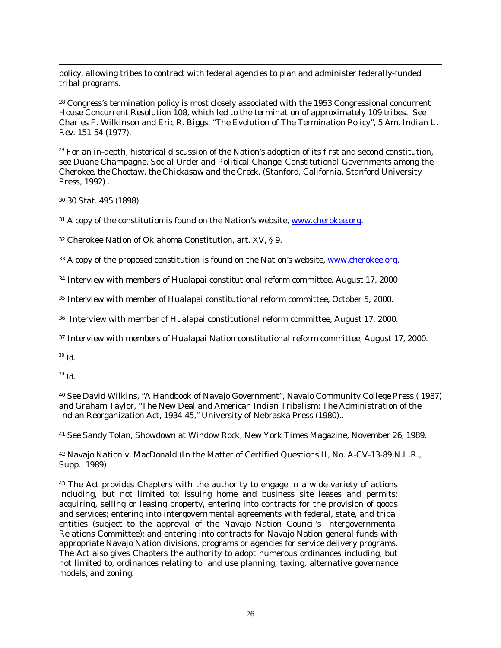policy, allowing tribes to contract with federal agencies to plan and administer federally-funded tribal programs.

28 Congress's termination policy is most closely associated with the 1953 Congressional concurrent House Concurrent Resolution 108, which led to the termination of approximately 109 tribes. See Charles F. Wilkinson and Eric R. Biggs, "The Evolution of The Termination Policy", 5 *Am. Indian L. Rev*. 151-54 (1977).

 $29$  For an in-depth, historical discussion of the Nation's adoption of its first and second constitution, see Duane Champagne, *Social Order and Political Change: Constitutional Governments among the Cherokee, the Choctaw, the Chickasaw and the Creek*, (Stanford, California, Stanford University Press, 1992) .

30 30 Stat. 495 (1898).

 $31$  A copy of the constitution is found on the Nation's website, www.cherokee.org.

32 Cherokee Nation of Oklahoma Constitution, art. XV, § 9.

<sup>33</sup> A copy of the proposed constitution is found on the Nation's website, www.cherokee.org.

34 Interview with members of Hualapai constitutional reform committee, August 17, 2000

35 Interview with member of Hualapai constitutional reform committee, October 5, 2000.

36 Interview with member of Hualapai constitutional reform committee, August 17, 2000.

37 Interview with members of Hualapai Nation constitutional reform committee, August 17, 2000.

38 Id.

 $\overline{a}$ 

 $39$  Id.

40 See David Wilkins, "A Handbook of Navajo Government", Navajo Community College Press ( 1987) and Graham Taylor, "The New Deal and American Indian Tribalism: The Administration of the Indian Reorganization Act, 1934-45," University of Nebraska Press (1980)..

41 See Sandy Tolan, Showdown at Window Rock, New York Times Magazine, November 26, 1989.

42 Navajo Nation v. MacDonald (In the Matter of Certified Questions II, No. A-CV-13-89;N.L.R., Supp., 1989)

<sup>43</sup> The Act provides Chapters with the authority to engage in a wide variety of actions including, but not limited to: issuing home and business site leases and permits; acquiring, selling or leasing property, entering into contracts for the provision of goods and services; entering into intergovernmental agreements with federal, state, and tribal entities (subject to the approval of the Navajo Nation Council's Intergovernmental Relations Committee); and entering into contracts for Navajo Nation general funds with appropriate Navajo Nation divisions, programs or agencies for service delivery programs. The Act also gives Chapters the authority to adopt numerous ordinances including, but not limited to, ordinances relating to land use planning, taxing, alternative governance models, and zoning.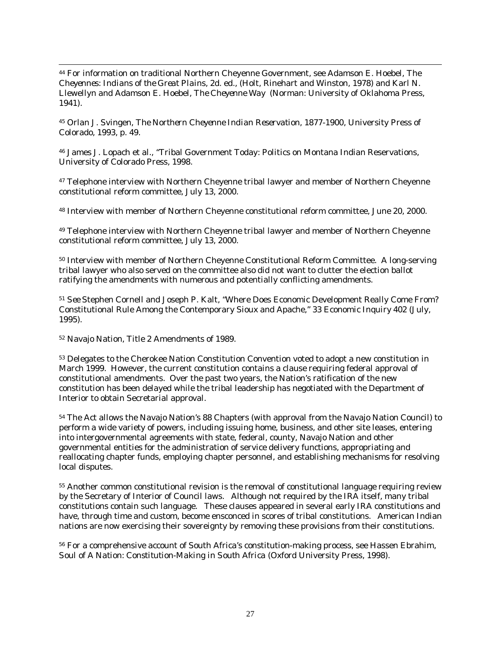44 For information on traditional Northern Cheyenne Government, see Adamson E. Hoebel, *The Cheyennes: Indians of the Great Plains*, 2d. ed., (Holt, Rinehart and Winston, 1978) and Karl N. Llewellyn and Adamson E. Hoebel, *The Cheyenne Way* (Norman: University of Oklahoma Press, 1941).

45 Orlan J. Svingen, *The Northern Cheyenne Indian Reservation, 1877-1900*, University Press of Colorado, 1993, p. 49.

46 James J. Lopach et al., "Tribal Government Today: Politics on Montana Indian Reservations, University of Colorado Press, 1998.

<sup>47</sup> Telephone interview with Northern Cheyenne tribal lawyer and member of Northern Cheyenne constitutional reform committee, July 13, 2000.

48 Interview with member of Northern Cheyenne constitutional reform committee, June 20, 2000.

49 Telephone interview with Northern Cheyenne tribal lawyer and member of Northern Cheyenne constitutional reform committee, July 13, 2000.

50 Interview with member of Northern Cheyenne Constitutional Reform Committee. A long-serving tribal lawyer who also served on the committee also did not want to clutter the election ballot ratifying the amendments with numerous and potentially conflicting amendments.

<sup>51</sup> *See* Stephen Cornell and Joseph P. Kalt, "Where Does Economic Development Really Come From? Constitutional Rule Among the Contemporary Sioux and Apache," 33 *Economic Inquiry* 402 (July, 1995).

52 Navajo Nation, Title 2 Amendments of 1989.

 $\overline{a}$ 

53 Delegates to the Cherokee Nation Constitution Convention voted to adopt a new constitution in March 1999. However, the current constitution contains a clause requiring federal approval of constitutional amendments. Over the past two years, the Nation's ratification of the new constitution has been delayed while the tribal leadership has negotiated with the Department of Interior to obtain Secretarial approval.

54 The Act allows the Navajo Nation's 88 Chapters (with approval from the Navajo Nation Council) to perform a wide variety of powers, including issuing home, business, and other site leases, entering into intergovernmental agreements with state, federal, county, Navajo Nation and other governmental entities for the administration of service delivery functions, appropriating and reallocating chapter funds, employing chapter personnel, and establishing mechanisms for resolving local disputes.

55 Another common constitutional revision is the removal of constitutional language requiring review by the Secretary of Interior of Council laws. Although not required by the IRA itself, many tribal constitutions contain such language. These clauses appeared in several early IRA constitutions and have, through time and custom, become ensconced in scores of tribal constitutions. American Indian nations are now exercising their sovereignty by removing these provisions from their constitutions.

56 For a comprehensive account of South Africa's constitution-making process, see Hassen Ebrahim, *Soul of A Nation: Constitution-Making in South Africa* (Oxford University Press, 1998).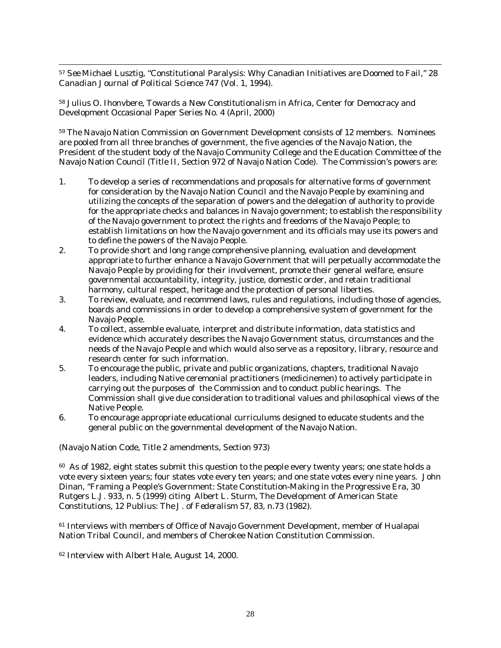$\overline{a}$ <sup>57</sup> *See* Michael Lusztig, "Constitutional Paralysis: Why Canadian Initiatives are Doomed to Fail," 28 *Canadian Journal of Political Science* 747 (Vol. 1, 1994).

58 Julius O. Ihonvbere, *Towards a New Constitutionalism in Africa*, Center for Democracy and Development Occasional Paper Series No. 4 (April, 2000)

59 The Navajo Nation Commission on Government Development consists of 12 members. Nominees are pooled from all three branches of government, the five agencies of the Navajo Nation, the President of the student body of the Navajo Community College and the Education Committee of the Navajo Nation Council (Title II, Section 972 of Navajo Nation Code). The Commission's powers are:

- 1. To develop a series of recommendations and proposals for alternative forms of government for consideration by the Navajo Nation Council and the Navajo People by examining and utilizing the concepts of the separation of powers and the delegation of authority to provide for the appropriate checks and balances in Navajo government; to establish the responsibility of the Navajo government to protect the rights and freedoms of the Navajo People; to establish limitations on how the Navajo government and its officials may use its powers and to define the powers of the Navajo People.
- 2. To provide short and long range comprehensive planning, evaluation and development appropriate to further enhance a Navajo Government that will perpetually accommodate the Navajo People by providing for their involvement, promote their general welfare, ensure governmental accountability, integrity, justice, domestic order, and retain traditional harmony, cultural respect, heritage and the protection of personal liberties.
- 3. To review, evaluate, and recommend laws, rules and regulations, including those of agencies, boards and commissions in order to develop a comprehensive system of government for the Navajo People.
- 4. To collect, assemble evaluate, interpret and distribute information, data statistics and evidence which accurately describes the Navajo Government status, circumstances and the needs of the Navajo People and which would also serve as a repository, library, resource and research center for such information.
- 5. To encourage the public, private and public organizations, chapters, traditional Navajo leaders, including Native ceremonial practitioners (medicinemen) to actively participate in carrying out the purposes of the Commission and to conduct public hearings. The Commission shall give due consideration to traditional values and philosophical views of the Native People.
- 6. To encourage appropriate educational curriculums designed to educate students and the general public on the governmental development of the Navajo Nation.

(Navajo Nation Code, Title 2 amendments, Section 973)

<sup>60</sup> As of 1982, eight states submit this question to the people every twenty years; one state holds a vote every sixteen years; four states vote every ten years; and one state votes every nine years. John Dinan, "Framing a People's Government: State Constitution-Making in the Progressive Era, 30 Rutgers L.J. 933, n. 5 (1999) citing Albert L. Sturm, The Development of American State Constitutions, 12 *Publius: The J. of Federalism* 57, 83, n.73 (1982).

<sup>61</sup> Interviews with members of Office of Navajo Government Development, member of Hualapai Nation Tribal Council, and members of Cherokee Nation Constitution Commission.

62 Interview with Albert Hale, August 14, 2000.